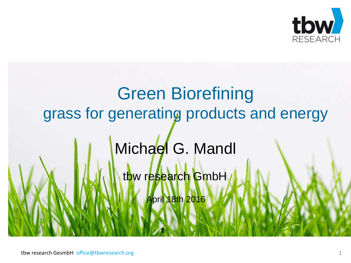

# Green Biorefining grass for generating products and energy Michael G. Mandl tbw research GmbH April 18th 2016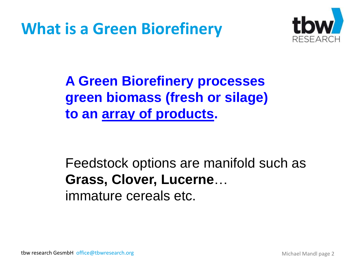**What is a Green Biorefinery**



**A Green Biorefinery processes green biomass (fresh or silage) to an array of products.**

Feedstock options are manifold such as **Grass, Clover, Lucerne**… immature cereals etc.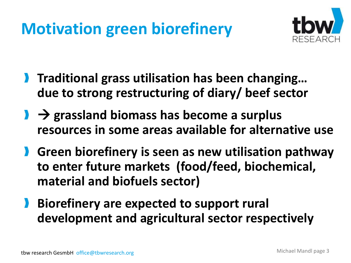## **Motivation green biorefinery**



- **Traditional grass utilisation has been changing... due to strong restructuring of diary/ beef sector**
- **l**  $\rightarrow$  grassland biomass has become a surplus **resources in some areas available for alternative use**
- **Green biorefinery is seen as new utilisation pathway to enter future markets (food/feed, biochemical, material and biofuels sector)**
- **Biorefinery are expected to support rural development and agricultural sector respectively**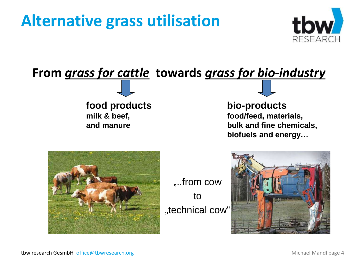### **Alternative grass utilisation**





**food products milk & beef, and manure**

#### **bio-products**

**food/feed, materials, bulk and fine chemicals, biofuels and energy…**



...from cow to "technical cow"

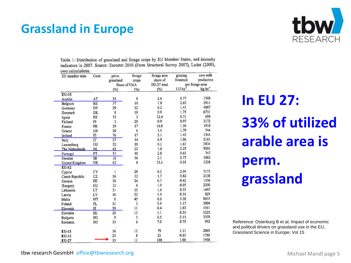#### **Grassland in Europe**



Table 1: Distribution of grassland and forage crops by EU Member States, and intensity indicators in 2007. Source: Eurostat 2010 (Farm Structural Survey 2007), Lutter (2009), oun calculations

| EU member state       | Code      | perm.<br>grassland  | forage<br>crops | forage area<br>share of | grazing<br>livestock | cow milk<br>production |
|-----------------------|-----------|---------------------|-----------------|-------------------------|----------------------|------------------------|
|                       |           | Share of UAA        |                 | EU-27 total             |                      | per forage area        |
|                       |           | (%)                 | $(\%)$          | (%)                     | $LU$ ha $^{-1}$      | kg ha <sup>-1</sup>    |
| $EU-15$               |           |                     |                 |                         |                      |                        |
| Austria               | AT        | 54                  | 8               | 2.6                     | 0.77                 | 1568                   |
| Belgium               | <b>BE</b> | 37                  | 18              | 1.0                     | 2.63                 | 3911                   |
| Germany               | DE        | 29                  | 12              | 9.2                     | 1.41                 | 4087                   |
| Denmark               | DK        | 8                   | 18              | 0.9                     | 1.75                 | 6751                   |
| Spain                 | <b>ES</b> | 35                  | $\overline{3}$  | 12.4                    | 0.71                 | 698                    |
| Finland               | FI        | $\overline{2}$      | 29              | 0.9                     | 0.97                 | 3172                   |
| France                | FR        | 29                  | 17              | 16.8                    | 1.26                 | 1918                   |
| Greece                | GR        | 20                  | 6               | 1.4                     | 1.79                 | 744                    |
| Ireland               | IE        | 76                  | 17              | 5.1                     | 1.43                 | 1344                   |
| Italy                 | IT        | $\overline{27}$     | 14              | 6.9                     | 1.06                 | 2161                   |
| Luxemburg             | LU        | 52                  | 18              | 0.1                     | 1.61                 | 2834                   |
| The Netherlands       | <b>NL</b> | 43                  | 22              | 1.6                     | 2.25                 | 9301                   |
| Portugal              | PT        | 51                  | 10              | 2.8                     | 0.61                 | 747                    |
| Sweden                | SE        | 16                  | 36              | 2.1                     | 0.77                 | 1885                   |
| <b>United Kingdom</b> | UK        | 62                  | 8               | 15.1                    | 0.91                 | 1228                   |
| EU-12                 |           |                     |                 |                         |                      |                        |
| Cyprus                | CY        | $\mathbf{1}$        | 29              | 0.1                     | 2.04                 | 3175                   |
| Czech Republic        | CZ        | 26                  | 12              | 1.7                     | 0.82                 | 2138                   |
| Estonia               | EE        | 30                  | 24              | 0.7                     | 0.42                 | 1356                   |
| Hungary               | HU        | 12                  | 6               | 1.0                     | 0.95                 | 2390                   |
| Lithuania             | LT        | 31                  | 15              | 1.6                     | 0.55                 | 1645                   |
| Latvia                | LV        | 36                  | 22              | 1.4                     | 0.31                 | 829                    |
| Malta                 | MT        | $\mathbf 0$         | 45              | 0.0                     | 3.50                 | 8655                   |
| Poland                | PL        | 21                  | 5               | 5.4                     | 1.17                 | 3004                   |
| Slovenia              | SI        | 59                  | 11              | 0.4                     | 1.07                 | 1561                   |
| Slovakia              | SK        | 28                  | 13              | 1.1                     | 0.51                 | 1225                   |
| Bulgaria              | BG        | 9                   | 3               | 0.5                     | 2.11                 | 3359                   |
| Romania               | RO.       | 33                  | 6               | 7.0                     | 0.75                 | 992                    |
| EU-15                 |           | $\rightarrow$<br>36 | 12              | 79                      | 1.11                 | 2005                   |
| $EU-12$               |           | 25                  | 8               | 21                      | 0.85                 | 1780                   |
| EU-27                 |           | 33                  | 11              | 100                     | 1.06                 | 1958                   |

## **In EU 27: 33% of utilized arable area is perm. grassland**

Reference: Osterburg B et al; Impact of economic and political drivers on grassland use in the EU, Grassland Science in Europe, Vol 15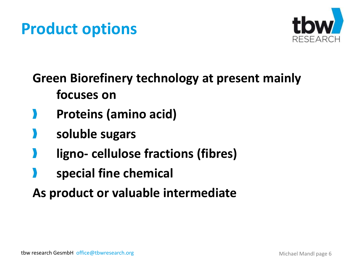### **Product options**



**Green Biorefinery technology at present mainly focuses on**

- **Proteins (amino acid)**
- **soluble sugars**
- **ligno- cellulose fractions (fibres)**
- **special fine chemical**
- **As product or valuable intermediate**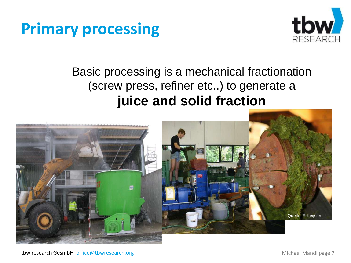#### **Primary processing**



#### Basic processing is a mechanical fractionation (screw press, refiner etc..) to generate a **juice and solid fraction**

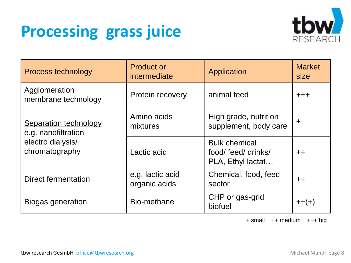### **Processing grass juice**



| Process technology                           | <b>Product or</b><br>intermediate | Application                                                      | <b>Market</b><br>size |
|----------------------------------------------|-----------------------------------|------------------------------------------------------------------|-----------------------|
| Agglomeration<br>membrane technology         | Protein recovery                  | animal feed                                                      | $+ + +$               |
| Separation technology<br>e.g. nanofiltration | Amino acids<br>mixtures           | High grade, nutrition<br>supplement, body care                   | $\ddot{}$             |
| electro dialysis/<br>chromatography          | Lactic acid                       | <b>Bulk chemical</b><br>food/ feed/ drinks/<br>PLA, Ethyl lactat | $++$                  |
| Direct fermentation                          | e.g. lactic acid<br>organic acids | Chemical, food, feed<br>sector                                   | $++$                  |
| Bio-methane<br><b>Biogas generation</b>      |                                   | CHP or gas-grid<br>biofuel                                       | $++(+)$               |

+ small ++ medium +++ big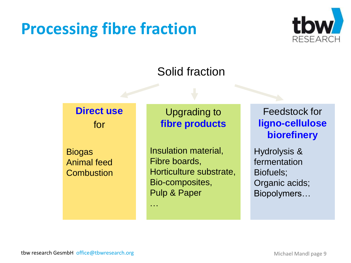## **Processing fibre fraction**



#### Solid fraction

#### **Direct use** for

**Biogas** Animal feed **Combustion** 

#### Upgrading to **fibre products**

Insulation material, Fibre boards, Horticulture substrate, Bio-composites, Pulp & Paper

…

Feedstock for **ligno-cellulose biorefinery**

Hydrolysis & fermentation Biofuels; Organic acids; Biopolymers…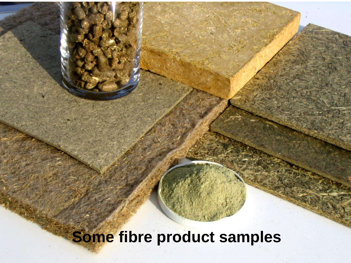## **Some fibre product samples**

tbw research GesmbH office@tbwresearch.org Michael Mandl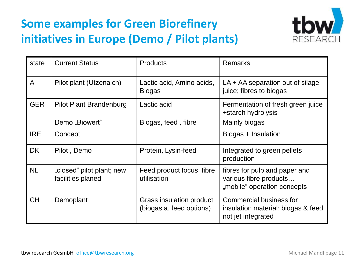#### **Some examples for Green Biorefinery initiatives in Europe (Demo / Pilot plants)**



| state          | <b>Current Status</b>                          | <b>Products</b>                                      | <b>Remarks</b>                                                                             |
|----------------|------------------------------------------------|------------------------------------------------------|--------------------------------------------------------------------------------------------|
| $\overline{A}$ | Pilot plant (Utzenaich)                        | Lactic acid, Amino acids,<br><b>Biogas</b>           | LA + AA separation out of silage<br>juice; fibres to biogas                                |
| <b>GER</b>     | Pilot Plant Brandenburg<br>Demo "Biowert"      | Lactic acid<br>Biogas, feed, fibre                   | Fermentation of fresh green juice<br>+starch hydrolysis<br>Mainly biogas                   |
|                |                                                |                                                      |                                                                                            |
| <b>IRE</b>     | Concept                                        |                                                      | Biogas + Insulation                                                                        |
| <b>DK</b>      | Pilot, Demo                                    | Protein, Lysin-feed                                  | Integrated to green pellets<br>production                                                  |
| <b>NL</b>      | "closed" pilot plant; new<br>facilities planed | Feed product focus, fibre<br>utilisation             | fibres for pulp and paper and<br>various fibre products<br>"mobile" operation concepts     |
| <b>CH</b>      | Demoplant                                      | Grass insulation product<br>(biogas a. feed options) | <b>Commercial business for</b><br>insulation material; biogas & feed<br>not jet integrated |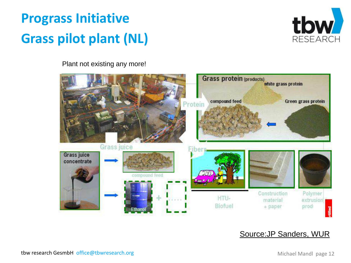#### **Prograss Initiative Grass pilot plant (NL)**



Plant not existing any more!



#### Source:JP Sanders, WUR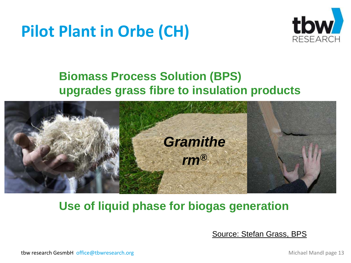## **Pilot Plant in Orbe (CH)**



#### **Biomass Process Solution (BPS) upgrades grass fibre to insulation products**



#### **Use of liquid phase for biogas generation**

Source: Stefan Grass, BPS

tbw research GesmbH office@tbwresearch.org Michael Mandl page 13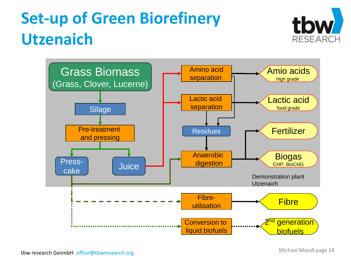## **Set-up of Green Biorefinery Utzenaich**



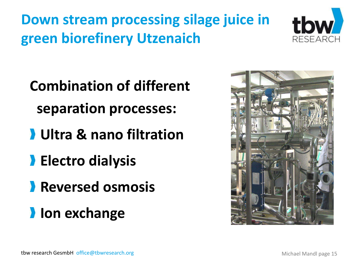**Down stream processing silage juice in green biorefinery Utzenaich**



**Combination of different separation processes:**

- **Ultra & nano filtration**
- **Electro dialysis**
- **Reversed osmosis**
- **Ion exchange**

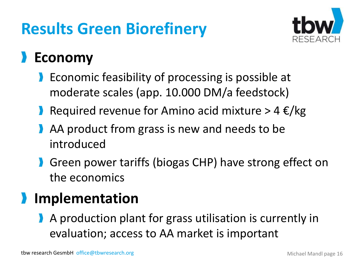## **Results Green Biorefinery**



#### **Economy**

- **Exercise 1** Economic feasibility of processing is possible at moderate scales (app. 10.000 DM/a feedstock)
- Required revenue for Amino acid mixture >  $4 \epsilon/kg$
- AA product from grass is new and needs to be introduced
- **S** Green power tariffs (biogas CHP) have strong effect on the economics

#### **Implementation**

A production plant for grass utilisation is currently in evaluation; access to AA market is important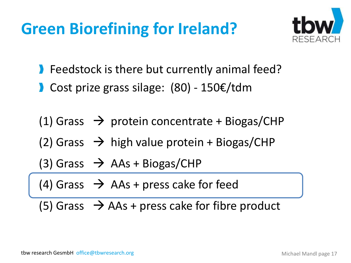## **Green Biorefining for Ireland?**



- **Feedstock is there but currently animal feed?**
- Cost prize grass silage: (80) 150€/tdm

(1) Grass  $\rightarrow$  protein concentrate + Biogas/CHP (2) Grass  $\rightarrow$  high value protein + Biogas/CHP

 $(3)$  Grass  $\rightarrow$  AAs + Biogas/CHP

(4) Grass  $\rightarrow$  AAs + press cake for feed

(5) Grass  $\rightarrow$  AAs + press cake for fibre product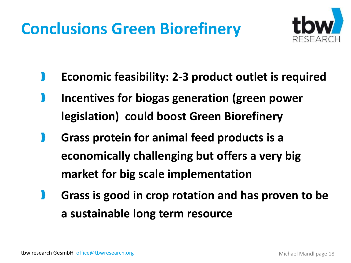## **Conclusions Green Biorefinery**



- **Economic feasibility: 2-3 product outlet is required**
- **Incentives for biogas generation (green power legislation) could boost Green Biorefinery**
- **Grass protein for animal feed products is a economically challenging but offers a very big market for big scale implementation**
- **Grass is good in crop rotation and has proven to be a sustainable long term resource**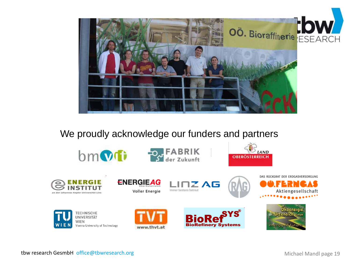

#### We proudly acknowledge our funders and partners